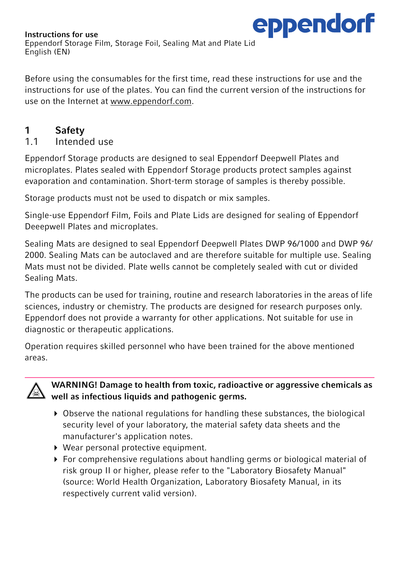

Before using the consumables for the first time, read these instructions for use and the instructions for use of the plates. You can find the current version of the instructions for use on the Internet at www.eppendorf.com.

### 1 Safety

1.1 Intended use

Eppendorf Storage products are designed to seal Eppendorf Deepwell Plates and microplates. Plates sealed with Eppendorf Storage products protect samples against evaporation and contamination. Short-term storage of samples is thereby possible.

Storage products must not be used to dispatch or mix samples.

Single-use Eppendorf Film, Foils and Plate Lids are designed for sealing of Eppendorf Deeepwell Plates and microplates.

Sealing Mats are designed to seal Eppendorf Deepwell Plates DWP 96/1000 and DWP 96/ 2000. Sealing Mats can be autoclaved and are therefore suitable for multiple use. Sealing Mats must not be divided. Plate wells cannot be completely sealed with cut or divided Sealing Mats.

The products can be used for training, routine and research laboratories in the areas of life sciences, industry or chemistry. The products are designed for research purposes only. Eppendorf does not provide a warranty for other applications. Not suitable for use in diagnostic or therapeutic applications.

Operation requires skilled personnel who have been trained for the above mentioned areas.



WARNING! Damage to health from toxic, radioactive or aggressive chemicals as well as infectious liquids and pathogenic germs.

- $\triangleright$  Observe the national regulations for handling these substances, the biological security level of your laboratory, the material safety data sheets and the manufacturer's application notes.
- Wear personal protective equipment.
- For comprehensive regulations about handling germs or biological material of risk group II or higher, please refer to the "Laboratory Biosafety Manual" (source: World Health Organization, Laboratory Biosafety Manual, in its respectively current valid version).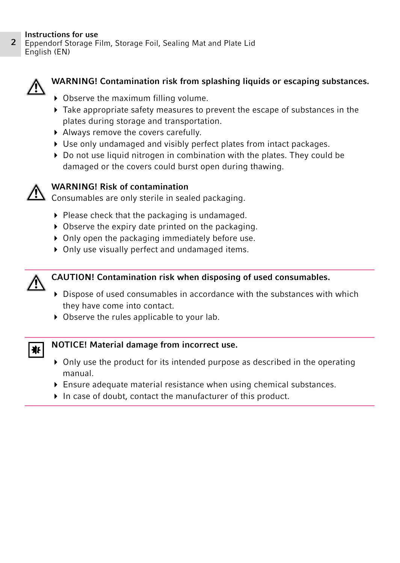<sup>2</sup> Instructions for use Eppendorf Storage Film, Storage Foil, Sealing Mat and Plate Lid English (EN)



#### WARNING! Contamination risk from splashing liquids or escaping substances.

- ▶ Observe the maximum filling volume.
- $\blacktriangleright$  Take appropriate safety measures to prevent the escape of substances in the plates during storage and transportation.
- Always remove the covers carefully.
- Use only undamaged and visibly perfect plates from intact packages.
- Do not use liquid nitrogen in combination with the plates. They could be damaged or the covers could burst open during thawing.



#### WARNING! Risk of contamination

Consumables are only sterile in sealed packaging.

- $\blacktriangleright$  Please check that the packaging is undamaged.
- ▶ Observe the expiry date printed on the packaging.
- ▶ Only open the packaging immediately before use.
- ▶ Only use visually perfect and undamaged items.



#### CAUTION! Contamination risk when disposing of used consumables.

- Dispose of used consumables in accordance with the substances with which they have come into contact.
- ▶ Observe the rules applicable to your lab.



#### NOTICE! Material damage from incorrect use.

- $\triangleright$  Only use the product for its intended purpose as described in the operating manual.
- Ensure adequate material resistance when using chemical substances.
- $\blacktriangleright$  In case of doubt, contact the manufacturer of this product.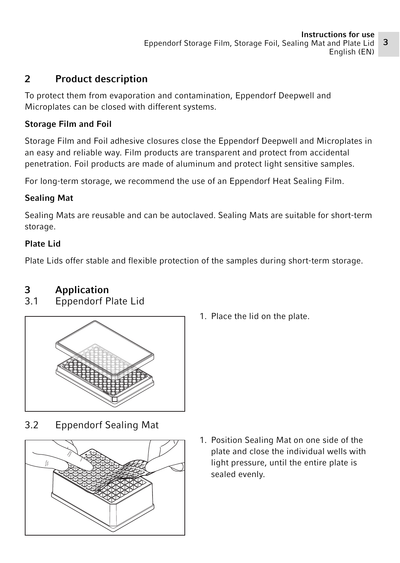# 2 Product description

To protect them from evaporation and contamination, Eppendorf Deepwell and Microplates can be closed with different systems.

#### Storage Film and Foil

Storage Film and Foil adhesive closures close the Eppendorf Deepwell and Microplates in an easy and reliable way. Film products are transparent and protect from accidental penetration. Foil products are made of aluminum and protect light sensitive samples.

For long-term storage, we recommend the use of an Eppendorf Heat Sealing Film.

### Sealing Mat

Sealing Mats are reusable and can be autoclaved. Sealing Mats are suitable for short-term storage.

#### Plate Lid

Plate Lids offer stable and flexible protection of the samples during short-term storage.

# **3 Application**<br>3.1 **Eppendorf E**

3.1 Eppendorf Plate Lid



1. Place the lid on the plate.

3.2 Eppendorf Sealing Mat



1. Position Sealing Mat on one side of the plate and close the individual wells with light pressure, until the entire plate is sealed evenly.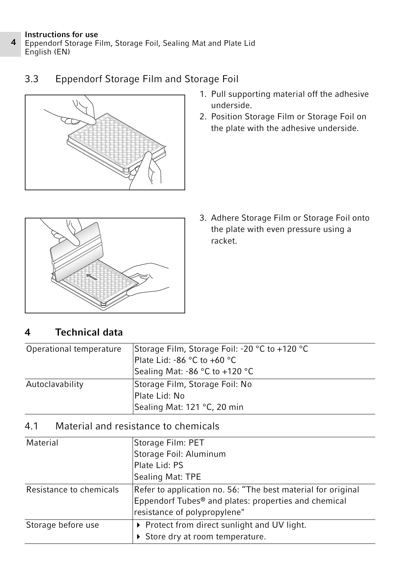- <sup>4</sup> Instructions for use Eppendorf Storage Film, Storage Foil, Sealing Mat and Plate Lid English (EN)
	- 3.3 Eppendorf Storage Film and Storage Foil



- 1. Pull supporting material off the adhesive underside.
- 2. Position Storage Film or Storage Foil on the plate with the adhesive underside.



3. Adhere Storage Film or Storage Foil onto the plate with even pressure using a racket.

# 4 Technical data

| Operational temperature | Storage Film, Storage Foil: -20 °C to +120 °C<br>Plate Lid: -86 °C to +60 °C |
|-------------------------|------------------------------------------------------------------------------|
|                         | Sealing Mat: -86 °C to +120 °C                                               |
| Autoclavability         | Storage Film, Storage Foil: No                                               |
|                         | Plate Lid: No                                                                |
|                         | Sealing Mat: 121 °C, 20 min                                                  |

## 4.1 Material and resistance to chemicals

| Material                | Storage Film: PET                                                                                                                                                |  |
|-------------------------|------------------------------------------------------------------------------------------------------------------------------------------------------------------|--|
|                         | Storage Foil: Aluminum                                                                                                                                           |  |
|                         | Plate Lid: PS                                                                                                                                                    |  |
|                         | Sealing Mat: TPE                                                                                                                                                 |  |
| Resistance to chemicals | Refer to application no. 56: "The best material for original<br>Eppendorf Tubes <sup>®</sup> and plates: properties and chemical<br>resistance of polypropylene" |  |
| Storage before use      | ▶ Protect from direct sunlight and UV light.<br>▶ Store dry at room temperature.                                                                                 |  |